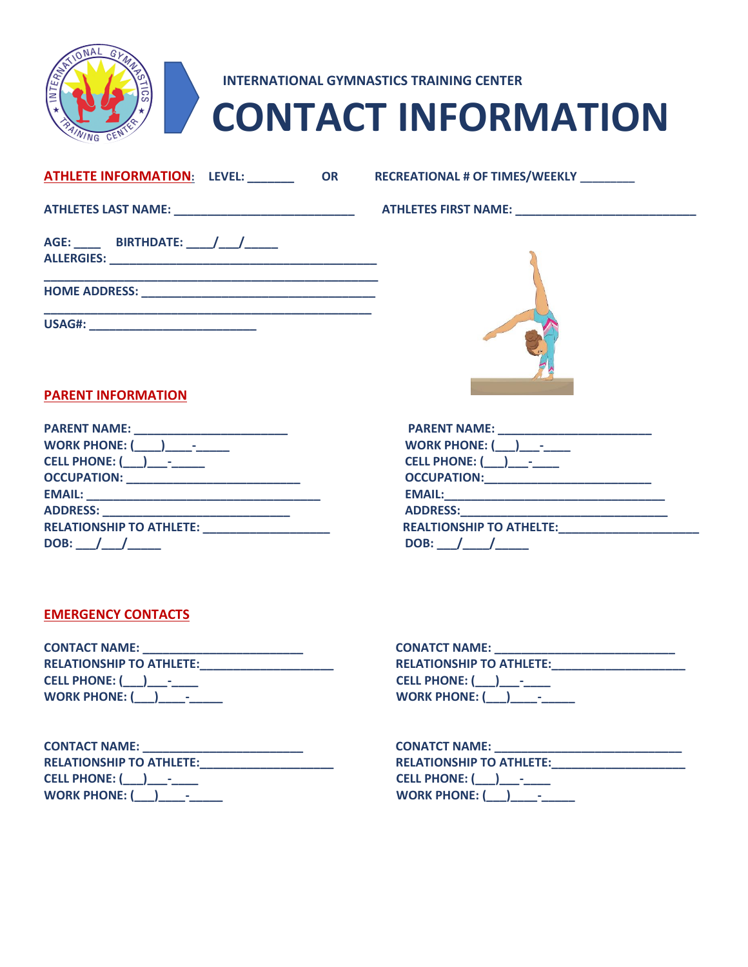

# **INTERNATIONAL GYMNASTICS TRAINING CENTER CONTACT INFORMATION**

|  |                                          | <u>ATHLETE INFORMATION:</u> LEVEL: ________            | <b>OR</b> |  |
|--|------------------------------------------|--------------------------------------------------------|-----------|--|
|  |                                          | ATHLETES LAST NAME: __________________________________ |           |  |
|  | AGE: _____ BIRTHDATE: _____/ ____/______ |                                                        |           |  |
|  |                                          |                                                        |           |  |

**USAG#: \_\_\_\_\_\_\_\_\_\_\_\_\_\_\_\_\_\_\_\_\_\_\_\_\_**

 $RECREATIONAL # OF TIMES/WEEKLY$ 

## **ATHLETES LAST NAME: \_\_\_\_\_\_\_\_\_\_\_\_\_\_\_\_\_\_\_\_\_\_\_\_\_\_\_ ATHLETES FIRST NAME: \_\_\_\_\_\_\_\_\_\_\_\_\_\_\_\_\_\_\_\_\_\_\_\_\_\_\_**



## **PARENT INFORMATION**

| <b>PARENT NAME:</b><br><u> 1980 - Johann Barn, mars eta bat erroman erroman ez arteko hamar ez erregea erregea erregea erregea erregea e</u> | <b>PARENT NAME:</b><br><u> 1980 - Johann Harry Harry Harry Harry Harry Harry Harry Harry Harry Harry Harry Harry Harry Harry Harry Harry Harry Harry Harry Harry Harry Harry Harry Harry Harry Harry Harry Harry Harry Harry Harry Harry Harry Harry Ha</u> |
|----------------------------------------------------------------------------------------------------------------------------------------------|-------------------------------------------------------------------------------------------------------------------------------------------------------------------------------------------------------------------------------------------------------------|
| <b>WORK PHONE: (</b><br>$\mathbf{I}$ and $\mathbf{I}$                                                                                        | WORK PHONE: $($ ) -                                                                                                                                                                                                                                         |
|                                                                                                                                              | <b>CELL PHONE: (WWW)</b>                                                                                                                                                                                                                                    |
| <b>OCCUPATION: _______________________________</b>                                                                                           |                                                                                                                                                                                                                                                             |
| <b>EMAIL:</b>                                                                                                                                |                                                                                                                                                                                                                                                             |
| <b>ADDRESS:</b>                                                                                                                              | <b>ADDRESS:</b>                                                                                                                                                                                                                                             |
| <b>RELATIONSHIP TO ATHLETE:</b>                                                                                                              | <b>REALTIONSHIP TO ATHELTE:</b>                                                                                                                                                                                                                             |
| DOB:                                                                                                                                         | DOB:                                                                                                                                                                                                                                                        |

| <b>PARENT NAME:</b>             |
|---------------------------------|
| <b>WORK PHONE: (___)___-__</b>  |
| CELL PHONE: ( ) -               |
| <b>OCCUPATION:</b>              |
| <b>EMAIL:</b>                   |
| <b>ADDRESS:</b>                 |
| <b>REALTIONSHIP TO ATHELTE:</b> |
| DOB: / /                        |

## **EMERGENCY CONTACTS**

| <b>CONTACT NAME:</b>            | <b>CONATCT NAME:</b>            |
|---------------------------------|---------------------------------|
| <b>RELATIONSHIP TO ATHLETE:</b> | <b>RELATIONSHIP TO ATHLETE:</b> |
| CELL PHONE: ( ) -               | CELL PHONE: ( ) –               |
| WORK PHONE: $($ ) -             | WORK PHONE: $($ ) -             |

| <b>CONTACT NAME:</b>            | <b>CONATCT NAME:</b>            |
|---------------------------------|---------------------------------|
| <b>RELATIONSHIP TO ATHLETE:</b> | <b>RELATIONSHIP TO ATHLETE:</b> |
| CELL PHONE: ( ) -               | CELL PHONE: ( ) -               |
| <b>WORK PHONE: (</b>            | WORK PHONE: $( )$ $\qquad$      |

| <b>CONATCT NAME:</b>            |
|---------------------------------|
| <b>RELATIONSHIP TO ATHLETE:</b> |
| CELL PHONE: ( ) -               |
| WORK PHONE: $($ $)$ $-$         |
|                                 |

| <b>CONATCT NAME:</b>            |  |
|---------------------------------|--|
| <b>RELATIONSHIP TO ATHLETE:</b> |  |
| CELL PHONE: ( ) -               |  |
| <b>WORK PHONE: (</b>            |  |